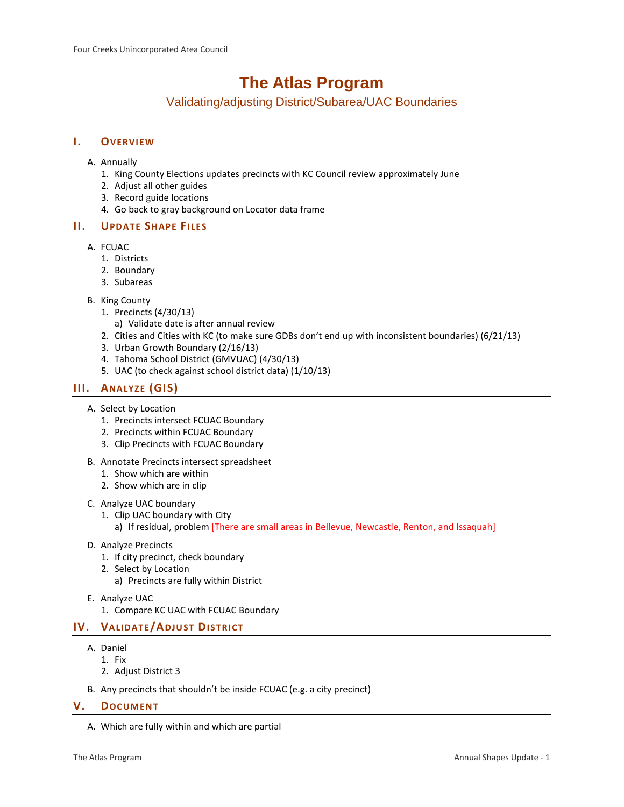# **The Atlas Program**

Validating/adjusting District/Subarea/UAC Boundaries

## **I. OVERVIEW**

- A. Annually
	- 1. King County Elections updates precincts with KC Council review approximately June
	- 2. Adjust all other guides
	- 3. Record guide locations
	- 4. Go back to gray background on Locator data frame

# **II. UPDATE SHAPE FILES**

- A. FCUAC
	- 1. Districts
	- 2. Boundary
	- 3. Subareas
- B. King County
	- 1. Precincts (4/30/13)
		- a) Validate date is after annual review
	- 2. Cities and Cities with KC (to make sure GDBs don't end up with inconsistent boundaries) (6/21/13)
	- 3. Urban Growth Boundary (2/16/13)
	- 4. Tahoma School District (GMVUAC) (4/30/13)
	- 5. UAC (to check against school district data) (1/10/13)

# **III. ANALYZE (GIS)**

- A. Select by Location
	- 1. Precincts intersect FCUAC Boundary
	- 2. Precincts within FCUAC Boundary
	- 3. Clip Precincts with FCUAC Boundary
- B. Annotate Precincts intersect spreadsheet
	- 1. Show which are within
	- 2. Show which are in clip

#### C. Analyze UAC boundary

- 1. Clip UAC boundary with City
	- a) If residual, problem [There are small areas in Bellevue, Newcastle, Renton, and Issaquah]
- D. Analyze Precincts
	- 1. If city precinct, check boundary
	- 2. Select by Location
		- a) Precincts are fully within District
- E. Analyze UAC
	- 1. Compare KC UAC with FCUAC Boundary

# **IV. VALIDATE/ADJUST DISTRICT**

- A. Daniel
	- 1. Fix
	- 2. Adjust District 3
- B. Any precincts that shouldn't be inside FCUAC (e.g. a city precinct)

### **V. DOCUMENT**

A. Which are fully within and which are partial